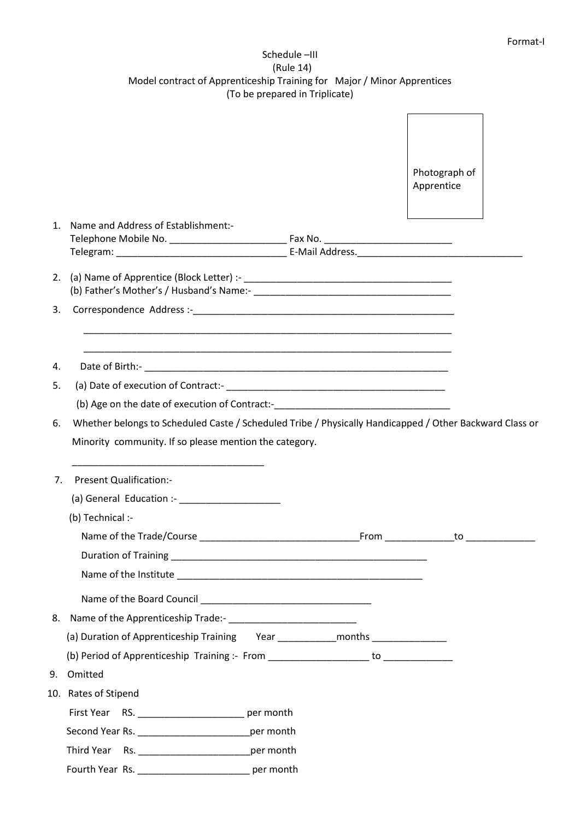## Schedule –III (Rule 14) Model contract of Apprenticeship Training for Major / Minor Apprentices (To be prepared in Triplicate)

|                            |                                                                                                         |           |  | Photograph of                                                                                                  |  |
|----------------------------|---------------------------------------------------------------------------------------------------------|-----------|--|----------------------------------------------------------------------------------------------------------------|--|
|                            |                                                                                                         |           |  | Apprentice                                                                                                     |  |
| $\mathbf{1}$ .             | Name and Address of Establishment:-                                                                     |           |  |                                                                                                                |  |
|                            |                                                                                                         |           |  |                                                                                                                |  |
| 3.                         |                                                                                                         |           |  |                                                                                                                |  |
| 4.                         |                                                                                                         |           |  |                                                                                                                |  |
| 5.                         |                                                                                                         |           |  |                                                                                                                |  |
|                            | (b) Age on the date of execution of Contract:-___________________________________                       |           |  |                                                                                                                |  |
| 6.                         | Whether belongs to Scheduled Caste / Scheduled Tribe / Physically Handicapped / Other Backward Class or |           |  |                                                                                                                |  |
|                            |                                                                                                         |           |  |                                                                                                                |  |
|                            | Minority community. If so please mention the category.                                                  |           |  |                                                                                                                |  |
|                            | <b>Present Qualification:-</b>                                                                          |           |  |                                                                                                                |  |
|                            | (a) General Education :- _______________________                                                        |           |  |                                                                                                                |  |
|                            | (b) Technical :-                                                                                        |           |  |                                                                                                                |  |
|                            | Name of the Trade/Course                                                                                |           |  | From to to the contract of the contract of the contract of the contract of the contract of the contract of the |  |
|                            |                                                                                                         |           |  |                                                                                                                |  |
|                            |                                                                                                         |           |  |                                                                                                                |  |
|                            |                                                                                                         |           |  |                                                                                                                |  |
|                            |                                                                                                         |           |  |                                                                                                                |  |
|                            | (a) Duration of Apprenticeship Training Year _______________months _____________                        |           |  |                                                                                                                |  |
|                            |                                                                                                         |           |  |                                                                                                                |  |
|                            | Omitted                                                                                                 |           |  |                                                                                                                |  |
|                            | 10. Rates of Stipend<br>First Year RS. __________________________ per month                             |           |  |                                                                                                                |  |
|                            |                                                                                                         | per month |  |                                                                                                                |  |
| 7 <sub>1</sub><br>8.<br>9. |                                                                                                         | per month |  |                                                                                                                |  |